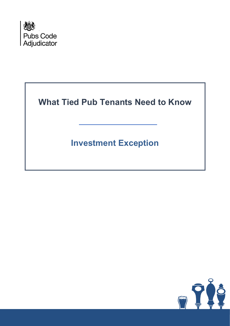

**What Tied Pub Tenants Need to Know**

**Investment Exception**

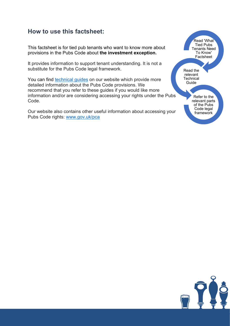#### **How to use this factsheet:**

This factsheet is for tied pub tenants who want to know more about provisions in the Pubs Code about **the investment exception.**

It provides information to support tenant understanding. It is not a substitute for the Pubs Code legal framework.

You can find [technical guides](https://www.gov.uk/government/collections/pubs-code-factsheets) on our website which provide more detailed information about the Pubs Code provisions. We recommend that you refer to these guides if you would like more information and/or are considering accessing your rights under the Pubs Code.

Our website also contains other useful information about accessing your Pubs Code rights: [www.gov.uk/pca](http://www.gov.uk/pca)



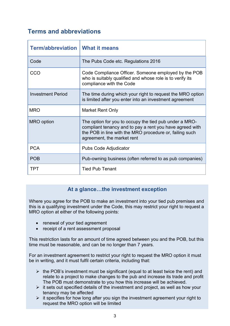# **Terms and abbreviations**

| <b>Term/abbreviation   What it means</b> |                                                                                                                                                                                                             |
|------------------------------------------|-------------------------------------------------------------------------------------------------------------------------------------------------------------------------------------------------------------|
| Code                                     | The Pubs Code etc. Regulations 2016                                                                                                                                                                         |
| CCO                                      | Code Compliance Officer. Someone employed by the POB<br>who is suitably qualified and whose role is to verify its<br>compliance with the Code                                                               |
| <b>Investment Period</b>                 | The time during which your right to request the MRO option<br>is limited after you enter into an investment agreement                                                                                       |
| <b>MRO</b>                               | <b>Market Rent Only</b>                                                                                                                                                                                     |
| <b>MRO</b> option                        | The option for you to occupy the tied pub under a MRO-<br>compliant tenancy and to pay a rent you have agreed with<br>the POB in line with the MRO procedure or, failing such<br>agreement, the market rent |
| <b>PCA</b>                               | <b>Pubs Code Adjudicator</b>                                                                                                                                                                                |
| <b>POB</b>                               | Pub-owning business (often referred to as pub companies)                                                                                                                                                    |
| TPT                                      | <b>Tied Pub Tenant</b>                                                                                                                                                                                      |

#### **At a glance…the investment exception**

Where you agree for the POB to make an investment into your tied pub premises and this is a qualifying investment under the Code, this may restrict your right to request a MRO option at either of the following points:

- renewal of your tied agreement
- receipt of a rent assessment proposal

This restriction lasts for an amount of time agreed between you and the POB, but this time must be reasonable, and can be no longer than 7 years.

For an investment agreement to restrict your right to request the MRO option it must be in writing, and it must fulfil certain criteria, including that:

- $\triangleright$  the POB's investment must be significant (equal to at least twice the rent) and relate to a project to make changes to the pub and increase its trade and profit The POB must demonstrate to you how this increase will be achieved.
- $\triangleright$  it sets out specified details of the investment and project, as well as how your tenancy may be affected
- $\triangleright$  it specifies for how long after you sign the investment agreement your right to request the MRO option will be limited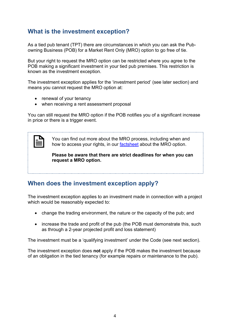#### **What is the investment exception?**

As a tied pub tenant (TPT) there are circumstances in which you can ask the Pubowning Business (POB) for a Market Rent Only (MRO) option to go free of tie.

But your right to request the MRO option can be restricted where you agree to the POB making a significant investment in your tied pub premises. This restriction is known as the investment exception.

The investment exception applies for the 'investment period' (see later section) and means you cannot request the MRO option at:

- renewal of your tenancy
- when receiving a rent assessment proposal

You can still request the MRO option if the POB notifies you of a significant increase in price or there is a trigger event.

You can find out more about the MRO process, including when and how to access your rights, in our [factsheet](https://www.gov.uk/government/publications/market-rent-only-mro-rights/what-tied-pub-tenants-need-to-know-about-market-rent-only-mro-rights) about the MRO option.

**Please be aware that there are strict deadlines for when you can request a MRO option.**

#### **When does the investment exception apply?**

The investment exception applies to an investment made in connection with a project which would be reasonably expected to:

- change the trading environment, the nature or the capacity of the pub; and
- increase the trade and profit of the pub (the POB must demonstrate this, such as through a 2-year projected profit and loss statement)

The investment must be a 'qualifying investment' under the Code (see next section).

The investment exception does **not** apply if the POB makes the investment because of an obligation in the tied tenancy (for example repairs or maintenance to the pub).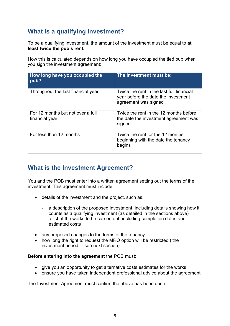# **What is a qualifying investment?**

To be a qualifying investment, the amount of the investment must be equal to **at least twice the pub's rent.** 

How this is calculated depends on how long you have occupied the tied pub when you sign the investment agreement:

| How long have you occupied the<br>pub?              | The investment must be:                                                                                  |
|-----------------------------------------------------|----------------------------------------------------------------------------------------------------------|
| Throughout the last financial year                  | Twice the rent in the last full financial<br>year before the date the investment<br>agreement was signed |
| For 12 months but not over a full<br>financial year | Twice the rent in the 12 months before<br>the date the investment agreement was<br>signed                |
| For less than 12 months                             | Twice the rent for the 12 months<br>beginning with the date the tenancy<br>begins                        |

### **What is the Investment Agreement?**

You and the POB must enter into a written agreement setting out the terms of the investment. This agreement must include:

- details of the investment and the project, such as:
	- a description of the proposed investment, including details showing how it counts as a qualifying investment (as detailed in the sections above)
	- a list of the works to be carried out, including completion dates and estimated costs
- any proposed changes to the terms of the tenancy
- how long the right to request the MRO option will be restricted ('the investment period' – see next section)

#### **Before entering into the agreement** the POB must:

- give you an opportunity to get alternative costs estimates for the works
- ensure you have taken independent professional advice about the agreement

The Investment Agreement must confirm the above has been done.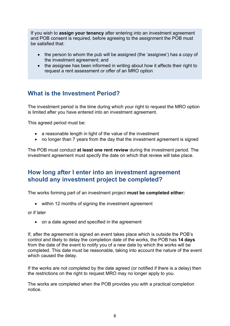If you wish to **assign your tenancy** after entering into an investment agreement and POB consent is required, before agreeing to the assignment the POB must be satisfied that:

- the person to whom the pub will be assigned (the 'assignee') has a copy of the investment agreement; and
- the assignee has been informed in writing about how it affects their right to request a rent assessment or offer of an MRO option

# **What is the Investment Period?**

The investment period is the time during which your right to request the MRO option is limited after you have entered into an investment agreement.

This agreed period must be:

- a reasonable length in light of the value of the investment
- no longer than 7 years from the day that the investment agreement is signed

The POB must conduct **at least one rent review** during the investment period. The investment agreement must specify the date on which that review will take place.

#### **How long after I enter into an investment agreement should any investment project be completed?**

The works forming part of an investment project **must be completed either:**

• within 12 months of signing the investment agreement

or if later

• on a date agreed and specified in the agreement

If, after the agreement is signed an event takes place which is outside the POB's control and likely to delay the completion date of the works, the POB has **14 days**  from the date of the event to notify you of a new date by which the works will be completed. This date must be reasonable, taking into account the nature of the event which caused the delay.

If the works are not completed by the date agreed (or notified if there is a delay) then the restrictions on the right to request MRO may no longer apply to you.

The works are completed when the POB provides you with a practical completion notice.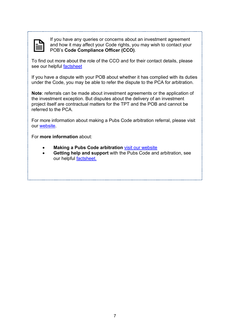If you have any queries or concerns about an investment agreement and how it may affect your Code rights, you may wish to contact your POB's **Code Compliance Officer (CCO)**.

To find out more about the role of the CCO and for their contact details, please see our helpful [factsheet](https://www.gov.uk/government/publications/what-tied-pub-tenants-need-to-know-about-business-development-managers-and-code-compliance-officers)

If you have a dispute with your POB about whether it has complied with its duties under the Code, you may be able to refer the dispute to the PCA for arbitration.

**Note**: referrals can be made about investment agreements or the application of the investment exception. But disputes about the delivery of an investment project itself are contractual matters for the TPT and the POB and cannot be referred to the PCA.

For more information about making a Pubs Code arbitration referral, please visit our [website.](https://www.gov.uk/government/publications/pubs-code-how-to-refer-an-issue-to-the-adjudicator)

For **more information** about:

- **Making a Pubs Code arbitration [visit our website](https://www.gov.uk/government/publications/pubs-code-how-to-refer-an-issue-to-the-adjudicator/pubs-code-arbitrator-standards)**
- **Getting help and support** with the Pubs Code and arbitration, see our helpful [factsheet.](https://www.gov.uk/government/publications/getting-help-and-support-with-the-pubs-code-and-arbitration)